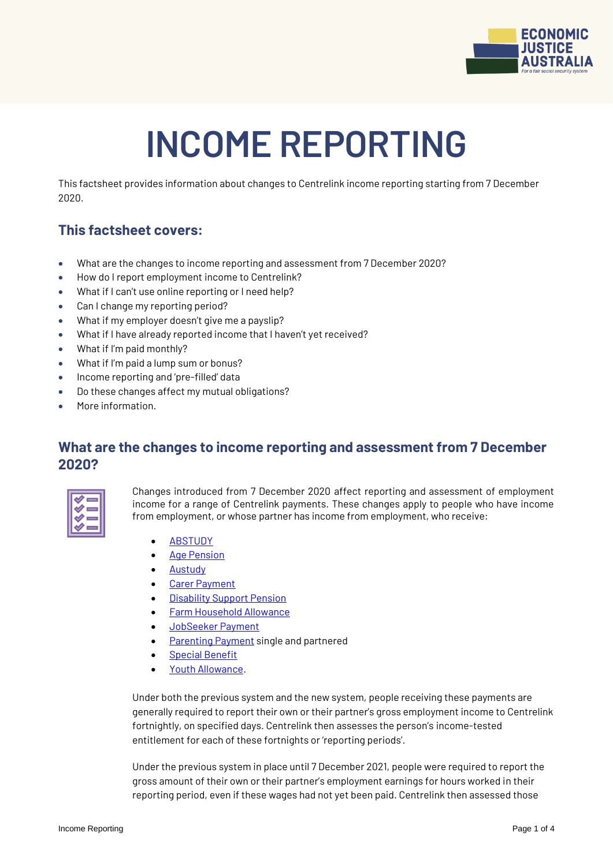

# **INCOME REPORTING**

This factsheet provides information about changes to Centrelink income reporting starting from 7 December 2020.

# **This factsheet covers:**

- What are the changes to income reporting and assessment from 7 December 2020?
- How do I report employment income to Centrelink?
- What if I can't use online reporting or I need help?
- Can I change my reporting period?
- What if my employer doesn't give me a payslip?
- What if I have already reported income that I haven't yet received?
- What if I'm paid monthly?
- What if I'm paid a lump sum or bonus?
- Income reporting and 'pre-filled' data
- Do these changes affect my mutual obligations?
- More information.

## **What are the changes to income reporting and assessment from 7 December 2020?**



Changes introduced from 7 December 2020 affect reporting and assessment of employment income for a range of Centrelink payments. These changes apply to people who have income from employment, or whose partner has income from employment, who receive:

- **• [ABSTUDY](https://www.servicesaustralia.gov.au/individuals/services/centrelink/abstudy)**
- [Age Pension](https://www.servicesaustralia.gov.au/individuals/services/centrelink/age-pension)
- **.** [Austudy](https://www.servicesaustralia.gov.au/individuals/services/centrelink/austudy)
- [Carer Payment](https://www.servicesaustralia.gov.au/individuals/services/centrelink/carer-payment)
- [Disability Support Pension](https://www.servicesaustralia.gov.au/individuals/services/centrelink/disability-support-pension)
- [Farm Household Allowance](https://www.servicesaustralia.gov.au/individuals/services/centrelink/farm-household-allowance)
- [JobSeeker Payment](https://www.servicesaustralia.gov.au/individuals/services/centrelink/jobseeker-payment)
- [Parenting Payment](https://www.servicesaustralia.gov.au/individuals/services/centrelink/parenting-payment) single and partnered
- [Special Benefit](https://www.servicesaustralia.gov.au/individuals/services/centrelink/special-benefit)
- [Youth Allowance.](https://www.servicesaustralia.gov.au/individuals/services/centrelink/youth-allowance)

Under both the previous system and the new system, people receiving these payments are generally required to report their own or their partner's gross employment income to Centrelink fortnightly, on specified days. Centrelink then assesses the person's income-tested entitlement for each of these fortnights or 'reporting periods'.

Under the previous system in place until 7 December 2021, people were required to report the gross amount of their own or their partner's employment earnings for hours worked in their reporting period, even if these wages had not yet been paid. Centrelink then assessed those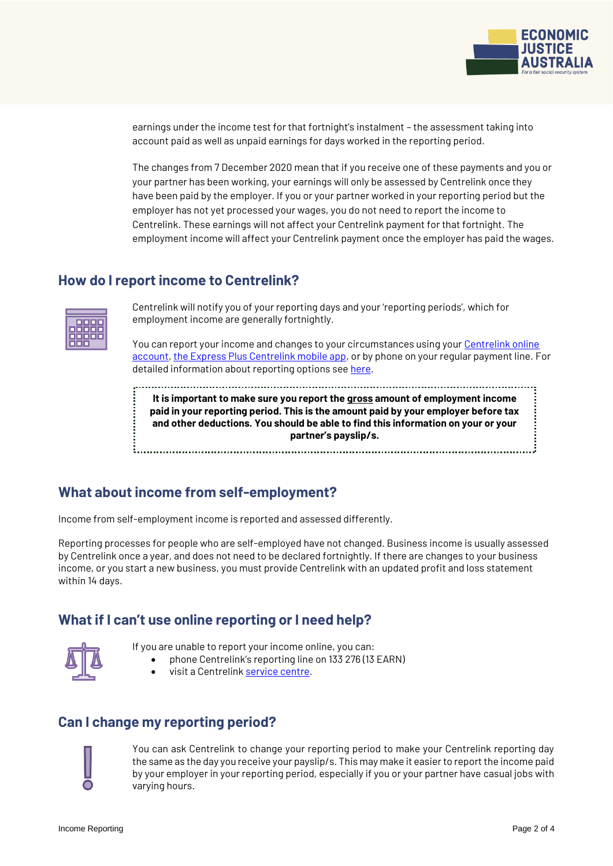

earnings under the income test for that fortnight's instalment – the assessment taking into account paid as well as unpaid earnings for days worked in the reporting period.

The changes from 7 December 2020 mean that if you receive one of these payments and you or your partner has been working, your earnings will only be assessed by Centrelink once they have been paid by the employer. If you or your partner worked in your reporting period but the employer has not yet processed your wages, you do not need to report the income to Centrelink. These earnings will not affect your Centrelink payment for that fortnight. The employment income will affect your Centrelink payment once the employer has paid the wages.

#### **How do I report income to Centrelink?**

Centrelink will notify you of your reporting days and your 'reporting periods', which for employment income are generally fortnightly.

You can report your income and changes to your circumstances using your [Centrelink online](https://www.servicesaustralia.gov.au/centrelink-online-account)  [account,](https://www.servicesaustralia.gov.au/centrelink-online-account) [the Express Plus Centrelink mobile app,](https://www.servicesaustralia.gov.au/express-plus-mobile-apps) or by phone on your regular payment line. For detailed information about reporting options se[e here.](https://www.servicesaustralia.gov.au/individuals/topics/how-report-your-income-centrelink/53209)

**It is important to make sure you report the gross amount of employment income paid in your reporting period. This is the amount paid by your employer before tax and other deductions. You should be able to find this information on your or your partner's payslip/s.**

## **What about income from self-employment?**

Income from self-employment income is reported and assessed differently.

Reporting processes for people who are self-employed have not changed. Business income is usually assessed by Centrelink once a year, and does not need to be declared fortnightly. If there are changes to your business income, or you start a new business, you must provide Centrelink with an updated profit and loss statement within 14 days.

## **What if I can't use online reporting or I need help?**



- If you are unable to report your income online, you can:
	- phone Centrelink's reporting line on 133 276 (13 EARN)
		- visit a Centrelink [service centre.](https://findus.servicesaustralia.gov.au/)

## **Can I change my reporting period?**

You can ask Centrelink to change your reporting period to make your Centrelink reporting day the same as the day you receive your payslip/s. This may make it easier to report the income paid by your employer in your reporting period, especially if you or your partner have casual jobs with varying hours.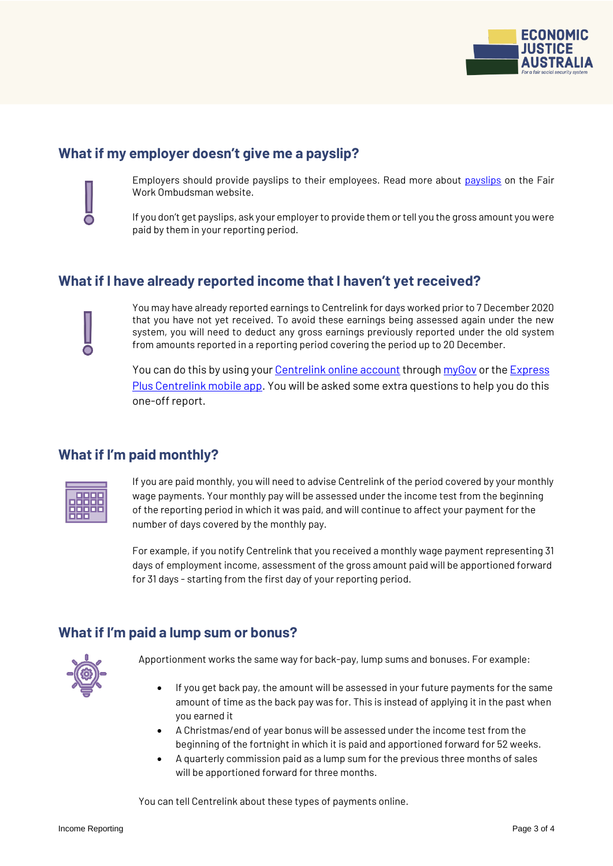

## **What if my employer doesn't give me a payslip?**



 $\bullet$ 

Employers should provide payslips to their employees. Read more about [payslips](https://www.fairwork.gov.au/pay/pay-slips-and-record-keeping/pay-slips) on the Fair Work Ombudsman website.

If you don't get payslips, ask your employer to provide them or tell you the gross amount you were paid by them in your reporting period.

## **What if I have already reported income that I haven't yet received?**

You may have already reported earnings to Centrelink for days worked prior to 7 December 2020 that you have not yet received. To avoid these earnings being assessed again under the new system, you will need to deduct any gross earnings previously reported under the old system from amounts reported in a reporting period covering the period up to 20 December.

You can do this by using your [Centrelink online account](https://www.servicesaustralia.gov.au/individuals/services/centrelink/centrelink-online-account) through [myGov](https://my.gov.au/) or the Express [Plus Centrelink mobile app.](https://www.servicesaustralia.gov.au/individuals/services/centrelink/express-plus-centrelink-mobile-apps) You will be asked some extra questions to help you do this one-off report.

#### **What if I'm paid monthly?**



If you are paid monthly, you will need to advise Centrelink of the period covered by your monthly wage payments. Your monthly pay will be assessed under the income test from the beginning of the reporting period in which it was paid, and will continue to affect your payment for the number of days covered by the monthly pay.

For example, if you notify Centrelink that you received a monthly wage payment representing 31 days of employment income, assessment of the gross amount paid will be apportioned forward for 31 days - starting from the first day of your reporting period.

## **What if I'm paid a lump sum or bonus?**



Apportionment works the same way for back-pay, lump sums and bonuses. For example:

- If you get back pay, the amount will be assessed in your future payments for the same amount of time as the back pay was for. This is instead of applying it in the past when you earned it
- A Christmas/end of year bonus will be assessed under the income test from the beginning of the fortnight in which it is paid and apportioned forward for 52 weeks.
- A quarterly commission paid as a lump sum for the previous three months of sales will be apportioned forward for three months.

You can tell Centrelink about these types of payments online.